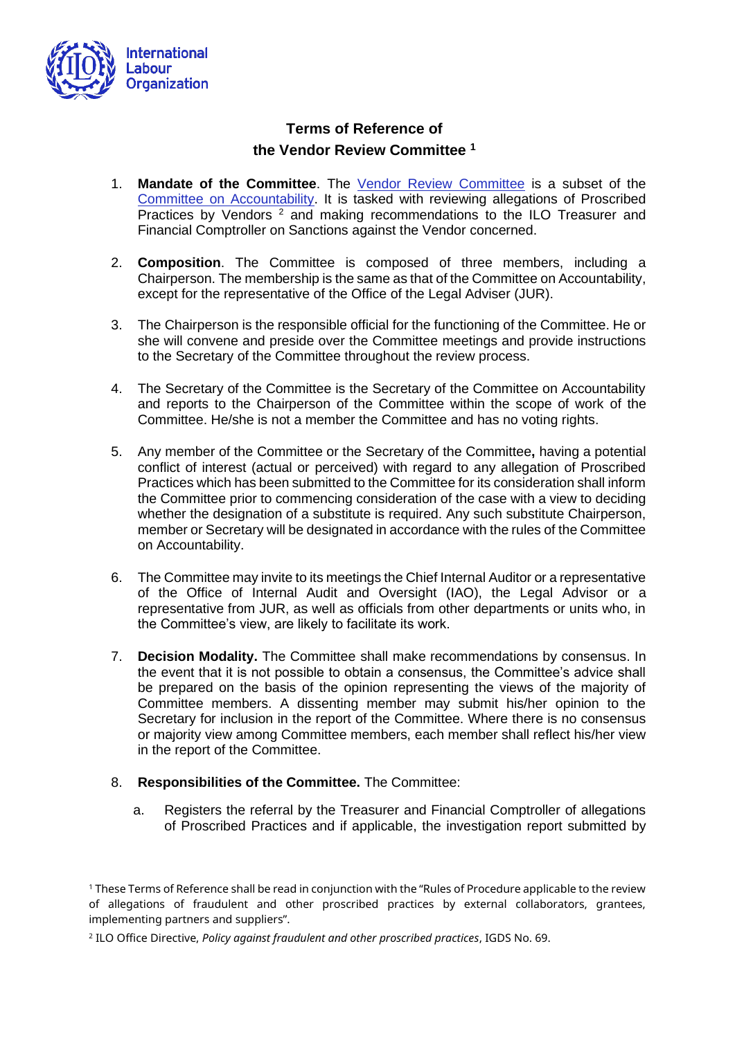

## **Terms of Reference of the Vendor Review Committee <sup>1</sup>**

- 1. **Mandate of the Committee**. The [Vendor Review Committee](https://www.ilo.org/global/about-the-ilo/how-the-ilo-works/accountability-and-transparency/vendor-review/lang--en/index.htm) is a subset of the [Committee on Accountability.](https://www.ilo.org/global/about-the-ilo/how-the-ilo-works/accountability-and-transparency/coa/lang--en/index.htm) It is tasked with reviewing allegations of Proscribed Practices by Vendors<sup>2</sup> and making recommendations to the ILO Treasurer and Financial Comptroller on Sanctions against the Vendor concerned.
- 2. **Composition**. The Committee is composed of three members, including a Chairperson. The membership is the same as that of the Committee on Accountability, except for the representative of the Office of the Legal Adviser (JUR).
- 3. The Chairperson is the responsible official for the functioning of the Committee. He or she will convene and preside over the Committee meetings and provide instructions to the Secretary of the Committee throughout the review process.
- 4. The Secretary of the Committee is the Secretary of the Committee on Accountability and reports to the Chairperson of the Committee within the scope of work of the Committee. He/she is not a member the Committee and has no voting rights.
- 5. Any member of the Committee or the Secretary of the Committee**,** having a potential conflict of interest (actual or perceived) with regard to any allegation of Proscribed Practices which has been submitted to the Committee for its consideration shall inform the Committee prior to commencing consideration of the case with a view to deciding whether the designation of a substitute is required. Any such substitute Chairperson, member or Secretary will be designated in accordance with the rules of the Committee on Accountability.
- 6. The Committee may invite to its meetings the Chief Internal Auditor or a representative of the Office of Internal Audit and Oversight (IAO), the Legal Advisor or a representative from JUR, as well as officials from other departments or units who, in the Committee's view, are likely to facilitate its work.
- 7. **Decision Modality.** The Committee shall make recommendations by consensus. In the event that it is not possible to obtain a consensus, the Committee's advice shall be prepared on the basis of the opinion representing the views of the majority of Committee members. A dissenting member may submit his/her opinion to the Secretary for inclusion in the report of the Committee. Where there is no consensus or majority view among Committee members, each member shall reflect his/her view in the report of the Committee.
- 8. **Responsibilities of the Committee.** The Committee:
	- a. Registers the referral by the Treasurer and Financial Comptroller of allegations of Proscribed Practices and if applicable, the investigation report submitted by

<sup>1</sup> These Terms of Reference shall be read in conjunction with the "Rules of Procedure applicable to the review of allegations of fraudulent and other proscribed practices by external collaborators, grantees, implementing partners and suppliers".

<sup>2</sup> ILO Office Directive, *Policy against fraudulent and other proscribed practices*, IGDS No. 69.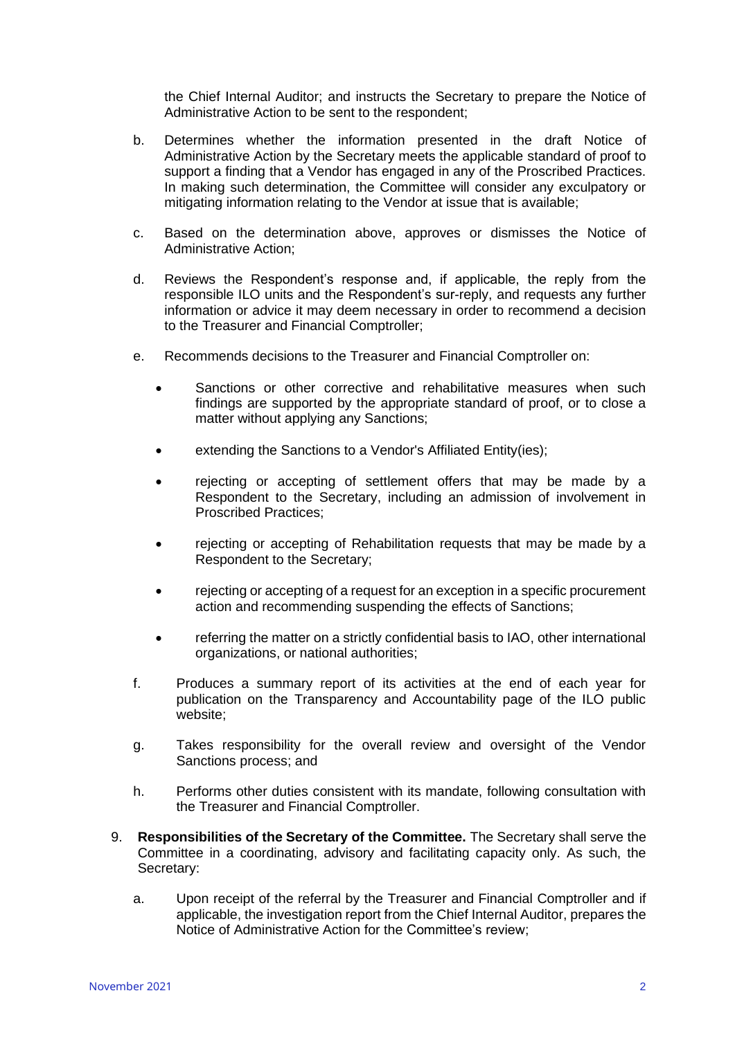the Chief Internal Auditor; and instructs the Secretary to prepare the Notice of Administrative Action to be sent to the respondent;

- b. Determines whether the information presented in the draft Notice of Administrative Action by the Secretary meets the applicable standard of proof to support a finding that a Vendor has engaged in any of the Proscribed Practices. In making such determination, the Committee will consider any exculpatory or mitigating information relating to the Vendor at issue that is available;
- c. Based on the determination above, approves or dismisses the Notice of Administrative Action;
- d. Reviews the Respondent's response and, if applicable, the reply from the responsible ILO units and the Respondent's sur-reply, and requests any further information or advice it may deem necessary in order to recommend a decision to the Treasurer and Financial Comptroller;
- e. Recommends decisions to the Treasurer and Financial Comptroller on:
	- Sanctions or other corrective and rehabilitative measures when such findings are supported by the appropriate standard of proof, or to close a matter without applying any Sanctions;
	- extending the Sanctions to a Vendor's Affiliated Entity(ies);
	- rejecting or accepting of settlement offers that may be made by a Respondent to the Secretary, including an admission of involvement in Proscribed Practices;
	- rejecting or accepting of Rehabilitation requests that may be made by a Respondent to the Secretary;
	- rejecting or accepting of a request for an exception in a specific procurement action and recommending suspending the effects of Sanctions;
	- referring the matter on a strictly confidential basis to IAO, other international organizations, or national authorities;
- f. Produces a summary report of its activities at the end of each year for publication on the Transparency and Accountability page of the ILO public website;
- g. Takes responsibility for the overall review and oversight of the Vendor Sanctions process; and
- h. Performs other duties consistent with its mandate, following consultation with the Treasurer and Financial Comptroller.
- 9. **Responsibilities of the Secretary of the Committee.** The Secretary shall serve the Committee in a coordinating, advisory and facilitating capacity only. As such, the Secretary:
	- a. Upon receipt of the referral by the Treasurer and Financial Comptroller and if applicable, the investigation report from the Chief Internal Auditor, prepares the Notice of Administrative Action for the Committee's review;